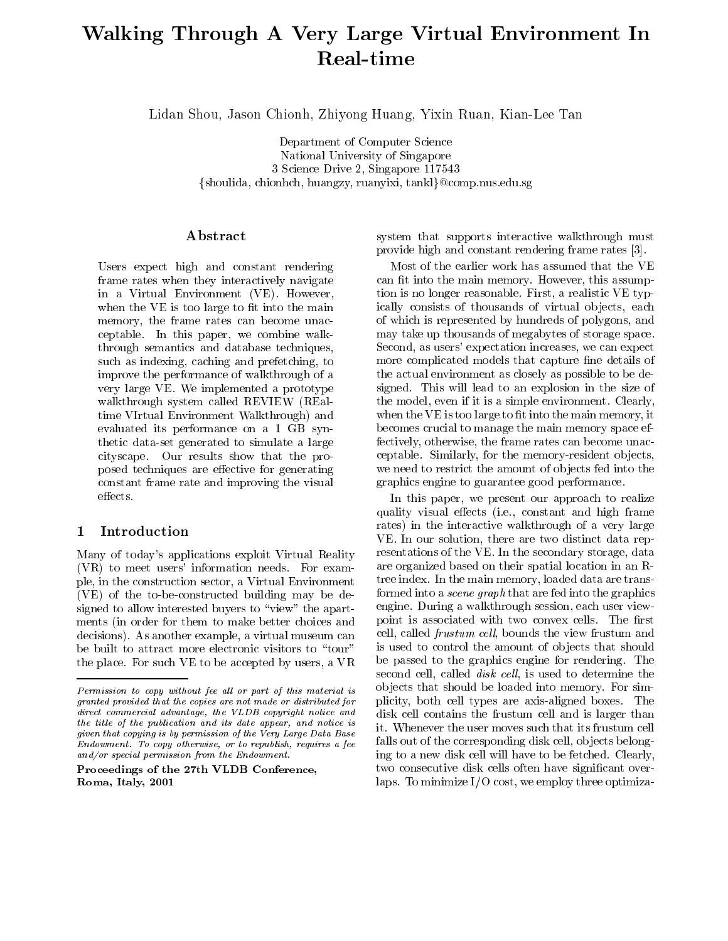# Walking Through A Very Large Virtual Environment In Real-time

Lidan Shou, Jason Chionh, Zhiyong Huang, Yixin Ruan, Kian-Lee Tan

Department of Computer Science National University of Singapore 3 Science Drive 2, Singapore 117543 fshoulida, chionhch, huangzy, ruanyixi, tanklg@comp.nus.edu.sg

# Abstract

Users expect high and constant rendering frame rates when they interactively navigate in a Virtual Environment (VE). However, when the VE is too large to fit into the main memory, the frame rates can become unacceptable. In this paper, we combine walkthrough semantics and database techniques, such as indexing, caching and prefetching, to improve the performance of walkthrough of a very large VE. We implemented a prototype walkthrough system called REVIEW (REaltime VIrtual Environment Walkthrough) and evaluated its performance on a 1 GB synthetic data-set generated to simulate a large cityscape. Our results show that the proposed techniques are effective for generating constant frame rate and improving the visual effects.

#### **Introduction**  $\mathbf{1}$

Many of today's applications exploit Virtual Reality (VR) to meet users' information needs. For example, in the construction sector, a Virtual Environment (VE) of the to-be-constructed building may be designed to allow interested buyers to "view" the apartments (in order for them to make better choices and decisions). As another example, a virtual museum can be built to attract more electronic visitors to "tour" the place. For such VE to be accepted by users, a VR

Proceedings of the 27th VLDB Conference,Roma, Italy, 2001

system that supports interactive walkthrough must provide high and constant rendering frame rates [3].

Most of the earlier work has assumed that the VE can fit into the main memory. However, this assumption is no longer reasonable. First, a realistic VE typically consists of thousands of virtual objects, each of which is represented by hundreds of polygons, and may take up thousands of megabytes of storage space. Second, as users' expectation increases, we can expect more complicated models that capture fine details of the actual environment as closely as possible to be designed. This will lead to an explosion in the size of the model, even if it is a simple environment. Clearly, when the VE is too large to fit into the main memory, it becomes crucial to manage the main memory space effectively, otherwise, the frame rates can become unacceptable. Similarly, for the memory-resident objects, we need to restrict the amount of objects fed into the graphics engine to guarantee good performance.

 plicity, both cell types are axis-aligned boxes. The falls out of the corresponding disk cell, ob jects belong-In this paper, we present our approach to realize quality visual effects (i.e., constant and high frame rates) in the interactive walkthrough of a very large VE. In our solution, there are two distinct data representations of the VE. In the secondary storage, data are organized based on their spatial location in an Rtree index. In the main memory, loaded data are transformed into a scene graph that are fed into the graphics engine. During a walkthrough session, each user viewpoint is associated with two convex cells. The first cell, called *frustum cell*, bounds the view frustum and is used to control the amount of ob jects that should be passed to the graphics engine for rendering. The second cell, called *disk cell*, is used to determine the ob jects that should be loaded into memory. For simdisk cell contains the frustum cell and is larger than ing to a new disk cell will have to be fetched. Clearly, two consecutive disk cells often have signicant overlaps. To minimize I/O cost, we employ three optimiza-

 $Permission$  to copy without fee all or part of this material is  $\sim$ granted provided that the copies are not made or distributed fordirect commercial advantage, the VLDB copyright notice and the title of the publication and its date appear, and notice is  $\mathcal{L}_{\text{in}}$ given that copying is by permission of the Very Large Data BaseEndowment. To copy otherwise, or to republish, requires a fee and/or special permission from the Endowment.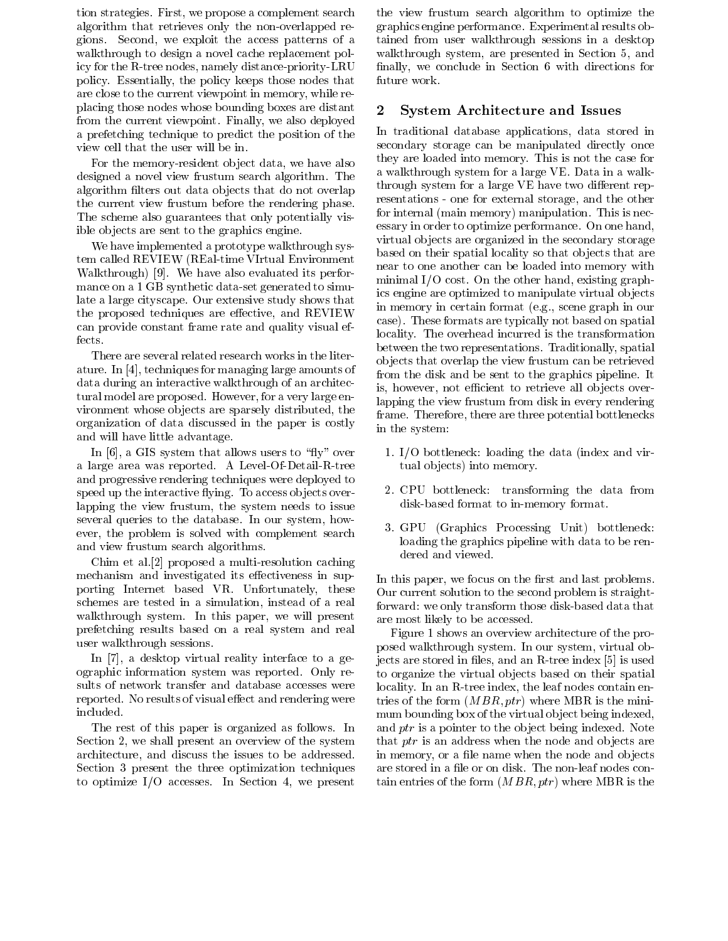tion strategies. First, we propose a complement search algorithm that retrieves only the non-overlapped regions. Second, we exploit the access patterns of a walkthrough to design a novel cache replacement policy for the R-tree nodes, namely distance-priority-LRU policy. Essentially, the policy keeps those nodes that are close to the current viewpoint in memory, while replacing those nodes whose bounding boxes are distant 2 from the current viewpoint. Finally, we also deployed a prefetching technique to predict the position of the view cell that the user will be in.

For the memory-resident ob ject data, we have also designed a novel view frustum search algorithm. The algorithm filters out data objects that do not overlap the current view frustum before the rendering phase. The scheme also guarantees that only potentially visible ob jects are sent to the graphics engine.

We have implemented a prototype walkthrough system called REVIEW (REal-time VIrtual Environment Walkthrough) [9]. We have also evaluated its performance on a 1 GB synthetic data-set generated to simulate a large cityscape. Our extensive study shows that the proposed techniques are effective, and REVIEW can provide constant frame rate and quality visual effects.

There are several related research works in the literature. In [4], techniques for managing large amounts of data during an interactive walkthrough of an architectural model are proposed. However, for a very large environment whose objects are sparsely distributed, the organization of data discussed in the paper is costly and will have little advantage.

In [6], a GIS system that allows users to "fly" over a large area was reported. A Level-Of-Detail-R-tree and progressive rendering techniques were deployed to speed up the interactive flying. To access objects overlapping the view frustum, the system needs to issue several queries to the database. In our system, how ever, the problem is solved with complement search and view frustum search algorithms.

Chim et al.[2] proposed a multi-resolution caching mechanism and investigated its effectiveness in supporting Internet based VR. Unfortunately, these schemes are tested in a simulation, instead of a real walkthrough system. In this paper, we will present prefetching results based on a real system andreal user walkthrough sessions.

In [7], a desktop virtual reality interface to a geographic information system was reported. Only results of network transfer and database accesses were reported. No results of visual effect and rendering were included.

The rest of this paper is organized as follows. In Section 2, we shall present an overview of the system architecture, and discuss the issues to be addressed. Section 3 present the three optimization techniques to optimize I/O accesses. In Section 4, we present the view frustum search algorithm to optimize the graphics engine performance. Experimental results obtained from user walkthrough sessions in a desktop walkthrough system, are presented in Section 5, and finally, we conclude in Section 6 with directions for future work.

# System Architecture and Issues

In traditional database applications, data stored in secondary storage can be manipulated directly once they are loaded into memory. This is not the case for a walkthrough system for a large VE. Data in a walkthrough system for a large VE have two different representations - one for external storage, and the other for internal (main memory) manipulation. This is necessary in order to optimize performance. On one hand, virtual objects are organized in the secondary storage based on their spatial locality so that ob jects that are near to one another can be loaded into memory with minimal I/O cost. On the other hand, existing graphics engine are optimized to manipulate virtual ob jects in memory in certain format (e.g., scene graph in our case). These formats are typically not based on spatial locality. The overhead incurred is the transformation between the two representations. Traditionally, spatial ob jects that overlap the view frustum can be retrieved from the disk and be sent to the graphics pipeline. It is, however, not efficient to retrieve all objects overlapping the view frustum from disk in every rendering frame. Therefore, there are three potential bottlenecks in the system:

- 1. I/O bottleneck: loading the data (index and virtual objects) into memory.
- 2. CPU bottleneck: transforming the data from disk-based format to in-memory format.
- 3. GPU (Graphics Processing Unit) bottleneck: loading the graphics pipeline with data to be rendered and viewed.

In this paper, we focus on the first and last problems. Our current solution to the second problem is straightforward: we only transform those disk-based data that are most likely to be accessed.

Figure 1 shows an overview architecture of the proposed walkthrough system. In our system, virtual objects are stored in files, and an R-tree index [5] is used to organize the virtual objects based on their spatial locality. In an R-tree index, the leaf nodes contain entries of the form  $(MBR,ptr)$  where MBR is the minimum bounding box of the virtual object being indexed, and ptr is a pointer to the object being indexed. Note that  $ptr$  is an address when the node and objects are in memory, or a file name when the node and objects are stored in a file or on disk. The non-leaf nodes contain entries of the form  $(MBR,ptr)$  where MBR is the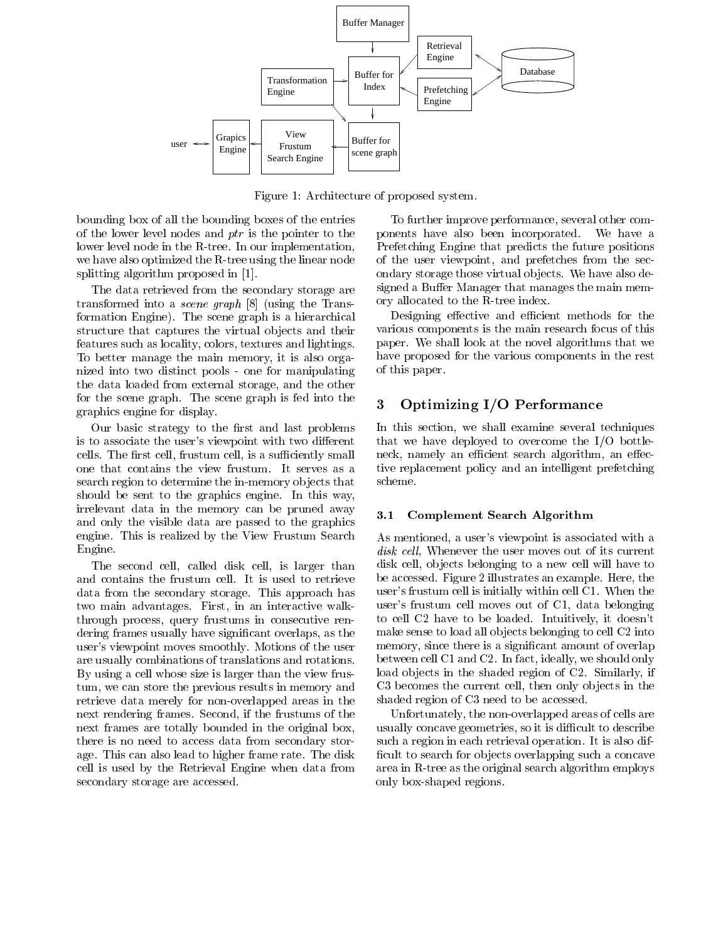

Figure 1: Architecture of proposed system.

bounding box of all the bounding boxes of the entries of the lower level nodes and ptr is the pointer to the lower level node in the R-tree. In our implementation, we have also optimized the R-tree using the linear node splitting algorithm proposed in [1].

The data retrieved from the secondary storage are transformed into a scene graph [8] (using the Transformation Engine). The scene graph is a hierarchical structure that captures the virtual objects and their features such as locality, colors, textures and lightings. To better manage the main memory, it is also organized into two distinct pools - one for manipulating the data loaded from external storage, and the other for the scene graph. The scene graph is fed into the graphics engine for display.

Our basic strategy to the first and last problems is to associate the user's viewpoint with two different cells. The first cell, frustum cell, is a sufficiently small one that contains the view frustum. It serves as a search region to determine the in-memory ob jects that should be sent to the graphics engine. In this way, irrelevant data in the memory can be pruned away and only the visible data are passed to the graphics engine. This is realized by the View Frustum Search Engine.

The second cell, called disk cell, is larger than and contains the frustum cell. It is used to retrieve data from the secondary storage. This approach has two main advantages. First, in an interactive walkthrough process, query frustums in consecutive rendering frames usually have signicant overlaps, as the user's viewpoint moves smoothly. Motions of the user are usually combinations of translations and rotations. By using a cell whose size is larger than the view frustum, we can store the previous results in memory and retrieve data merely for non-overlapped areas in the next rendering frames. Second, if the frustums of the next frames are totally bounded in the original box, there is no need to access data from secondary storage. This can also lead to higher frame rate. The disk cell is used by the Retrieval Engine when data from secondary storage are accessed.

To further improve performance, several other components have also been incorporated. We have a Prefetching Engine that predicts the future positions of the user viewpoint, and prefetches from the secondary storage those virtual objects. We have also designed a Buffer Manager that manages the main memory allocated to the R-tree index.

Designing effective and efficient methods for the various components is the main research focus of this paper. We shall look at the novel algorithms that we have proposed for the various components in the rest of this paper.

# 3 Optimizing I/O Performance

In this section, we shall examine several techniques that we have deployed to overcome the I/O bottleneck, namely an efficient search algorithm, an effective replacement policy and an intelligent prefetching scheme.

## 3.1 Complement Search Algorithm

As mentioned, a user's viewpoint is associated with a disk cell, Whenever the user moves out of its current disk cell, ob jects belonging to a new cell will have to be accessed. Figure 2 illustrates an example. Here, the user's frustum cell is initially within cell C1. When the user's frustum cell moves out of C1, data belonging to cell C2 have to be loaded. Intuitively, it doesn't make sense to load all objects belonging to cell C2 into memory, since there is a significant amount of overlap between cell C1 and C2. In fact, ideally, we should only load objects in the shaded region of C2. Similarly, if C3 becomes the current cell, then only objects in the shaded region of C3 need to be accessed.

Unfortunately, the non-overlapped areas of cells are usually concave geometries, so it is difficult to describe such a region in each retrieval operation. It is also dif ficult to search for objects overlapping such a concave area in R-tree as the original search algorithm employs only box-shaped regions.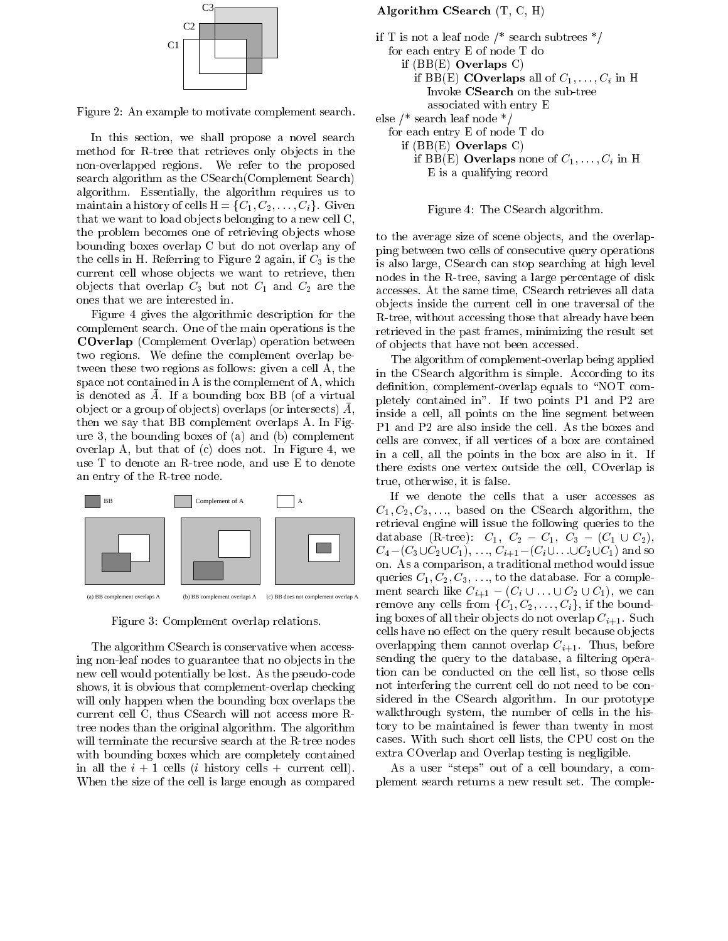

Figure 2: An example to motivate complement search.

In this section, we shall propose a novel search method for R-tree that retrieves only ob jects in the non-overlapped regions. We refer to the proposed search algorithm as the CSearch(Complement Search) algorithm. Essentially, the algorithm requires us to maintain a history of cells  $H = \{C_1, C_2, \ldots, C_i\}$ . Given that we want to load ob jects belonging to a new cell C, the problem becomes one of retrieving objects whose bounding boxes overlap C but do not overlap any of the cells in H. Referring to Figure 2 again, if  $C_3$  is the current cell whose objects we want to retrieve, then objects that overlap  $C_3$  but not  $C_1$  and  $C_2$  are the ones that we are interested in.

Figure 4 gives the algorithmic description for the complement search. One of the main operations is the COverlap (Complement Overlap) operation between two regions. We define the complement overlap between these two regions as follows: given a cell A, the space not contained in A is the complement of A, which is denoted as  $\overline{A}$ . If a bounding box BB (of a virtual ob ject or a group of ob jects) overlaps (or intersects) A, then we say that BB complement overlaps A. In Figure 3, the bounding boxes of (a) and (b) complement overlap A, but that of (c) does not. In Figure 4, we use T to denote an R-tree node, and use E to denote an entry of the R-tree node.



Figure 3: Complement overlap relations.

The algorithm CSearch is conservative when accessing non-leaf nodes to guarantee that no objects in the new cell would potentially be lost. As the pseudo-code shows, it is obvious that complement-overlap checking will only happen when the bounding box overlaps the current cell C, thus CSearch will not access more Rtree nodes than the original algorithm. The algorithm will terminate the recursive search at the R-tree nodes with bounding boxes which are completely contained in all the  $i + 1$  cells (*i* history cells + current cell). When the size of the cell is large enough as compared

# Algorithm CSearch (T, C, H)



Figure 4: The CSearch algorithm.

to the average size of scene ob jects, and the overlapping between two cells of consecutive query operations is also large, CSearch can stop searching at high level nodes in the R-tree, saving a large percentage of disk accesses. At the same time, CSearch retrieves all data ob jects inside the current cell in one traversal of the R-tree, without accessing those that already have been retrieved in the past frames, minimizing the result set of ob jects that have not been accessed.

The algorithm of complement-overlap being applied in the CSearch algorithm is simple. According to its definition, complement-overlap equals to "NOT completely contained in".If two points P1 and P2 are inside a cell, all points on the line segment between P1 and P2 are also inside the cell. As the boxes and cells are convex, if all vertices of a box are contained in a cell, all the points in the box are also in it. If there exists one vertex outside the cell, COverlap is true, otherwise, it is false.

If we denote the cells that a user accesses as  $C_1, C_2, C_3, \ldots$ , based on the CSearch algorithm, the retrieval engine will issue the following queries to the database (R-tree):  $C_1$ ,  $C_2 - C_1$ ,  $C_3 - (C_1 \cup C_2)$ ,  $C_4 - (C_3 \cup C_2 \cup C_1), \ldots, C_{i+1} - (C_i \cup \ldots \cup C_2 \cup C_1)$  and so on. As a comparison, a traditional method would issue queries  $C_1, C_2, C_3, \ldots$ , to the database. For a complement search like  $C_{i+1} - (C_i \cup \ldots \cup C_2 \cup C_1)$ , we can remove any cells from  $\{C_1, C_2, \ldots, C_i\}$ , if the bounding boxes of all their objects do not overlap  $C_{i+1}$ . Such cells have no effect on the query result because objects overlapping them cannot overlap  $C_{i+1}$ . Thus, before sending the query to the database, a filtering operation can be conducted on the cell list, so those cells not interfering the current cell do not need to be considered in the CSearch algorithm. In our prototype walkthrough system, the number of cells in the history to be maintained is fewer than twenty in most cases. With such short cell lists, the CPU cost on the extra COverlap and Overlap testing is negligible.

As a user "steps" out of a cell boundary, a complement search returns a new result set. The comple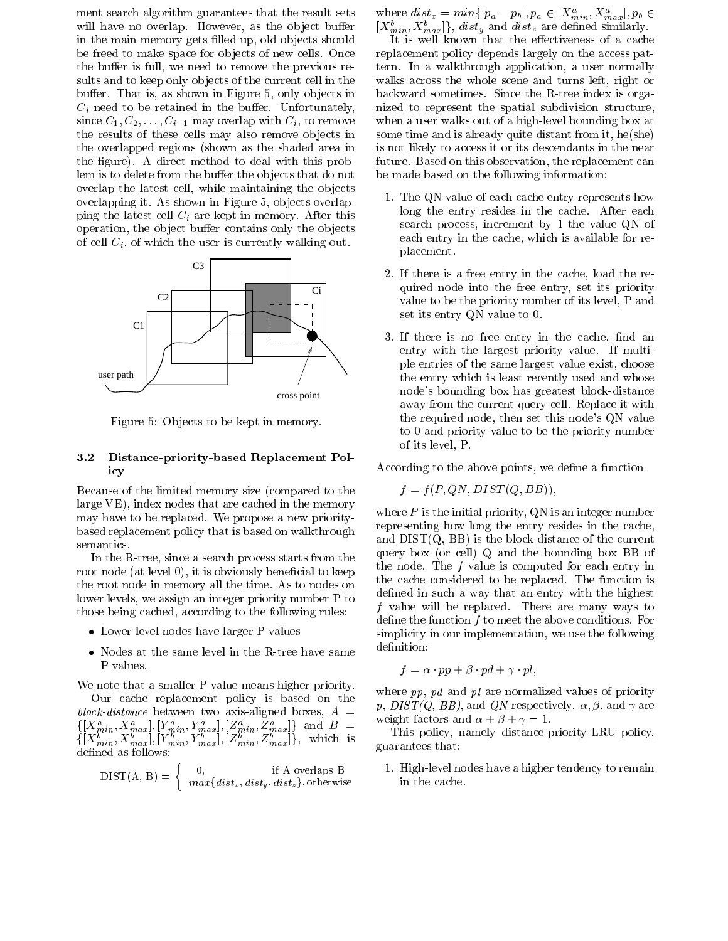ment search algorithm guarantees that the result sets will have no overlap. However, as the object buffer in the main memory gets filled up, old objects should be freed to make space for objects of new cells. Once the buffer is full, we need to remove the previous results and to keep only ob jects of the current cell in the buffer. That is, as shown in Figure 5, only objects in  $C_i$  need to be retained in the buffer. Unfortunately, since  $C_1, C_2, \ldots, C_{i-1}$  may overlap with  $C_i$ , to remove the results of these cells may also remove objects in the overlapped regions (shown as the shaded area in the figure). A direct method to deal with this problem is to delete from the buffer the objects that do not overlap the latest cell, while maintaining the objects overlapping it. As shown in Figure 5, objects overlapping the latest cell  $C_i$  are kept in memory. After this operation, the object buffer contains only the objects of cell  $C_i$ , of which the user is currently walking out.



Figure 5: Objects to be kept in memory.

# 3.2 Distance-priority-based Replacement Policy

Because of the limited memory size (compared to the large VE), index nodes that are cached in the memory may have to be replaced. We propose a new prioritybased replacement policy that is based on walkthrough semantics.

In the R-tree, since a search process starts from the root node (at level 0), it is obviously beneficial to keep the root node in memory all the time. As to nodes on lower levels, we assign an integer priority number P to those being cached, according to the following rules:

- Lower-level nodes have larger P values
- Nodes at the same level in the R-tree have same that P values.

We note that a smaller P value means higher priority.

Our cache replacement policy is based on the block-distance between two axis-aligned boxes,  $A =$  $\{[X_{min}^a, X_{max}^a], [Y_{min}^a, Y_{max}^a], [Z_{min}^a, Z_{max}^a]\}\$ and  $B =$  $\{[X^{b}_{min}, X^{b}_{max}], [Y^{b}_{min}, Y^{b}_{max}], [Z^{b}_{min}, Z^{b}_{max}]\}, \text{ which is}$ defined as follows:

$$
DIST(A, B) = \begin{cases} 0, & \text{if A overlaps B} \\ max\{dist_x, dist_y, dist_z\}, \text{otherwise} \end{cases}
$$

where  $dist_x = min\{|p_a - p_b|, p_a \in [X_{min}^a, X_{max}^a], p_b \in$  $[X_{min}^b, X_{max}^b]\}, dist_y \text{ and } dist_z \text{ are defined similarly.}$ 

It is well known that the effectiveness of a cache replacement policy depends largely on the access pattern. In a walkthrough application, a user normally walks across the whole scene and turns left, right or backward sometimes. Since the R-tree index is organized to represent the spatial subdivision structure, when a user walks out of a high-level bounding box at some time and is already quite distant from it, he(she) is not likely to access it or its descendants in the near future. Based on this observation, the replacement can be made based on the following information:

- 1. The QN value of each cache entry represents how long the entry resides in the cache. After each search process, increment by 1 the value QN of each entry in the cache, which is available for replacement.
- 2. If there is a free entry in the cache, load the required node into the free entry, set its priority value to be the priority number of its level, P and set its entry QN value to 0.
- 3. If there is no free entry in the cache, find an entry with the largest priority value. If multiple entries of the same largest value exist, choose the entry which is least recently used and whose node's bounding box has greatest block-distance away from the current query cell. Replace it with the required node, then set this node's QN value to 0 and priority value to be the priority number of its level, P.

According to the above points, we define a function

$$
f = f(P, QN, DIST(Q, BB)),
$$

where  $P$  is the initial priority, QN is an integer number representing how long the entry resides in the cache, and  $DIST(Q, BB)$  is the block-distance of the current query box (or cell) Q and the bounding box BB of the node. The  $f$  value is computed for each entry in the cache considered to be replaced. The function is defined in such a way that an entry with the highest  $f$  value will be replaced. There are many ways to define the function  $f$  to meet the above conditions. For simplicity in our implementation, we use the following definition:

$$
f=\alpha\cdot pp+\beta\cdot pd+\gamma\cdot pl,
$$

where  $pp$ ,  $pd$  and  $pl$  are normalized values of priority p,  $DIST(Q, BB)$ , and QN respectively.  $\alpha, \beta$ , and  $\gamma$  are weight factors and  $\alpha + \beta + \gamma = 1$ .

This policy, namely distance-priority-LRU policy, guarantees that:

1. High-level nodes have a higher tendency to remain in the cache.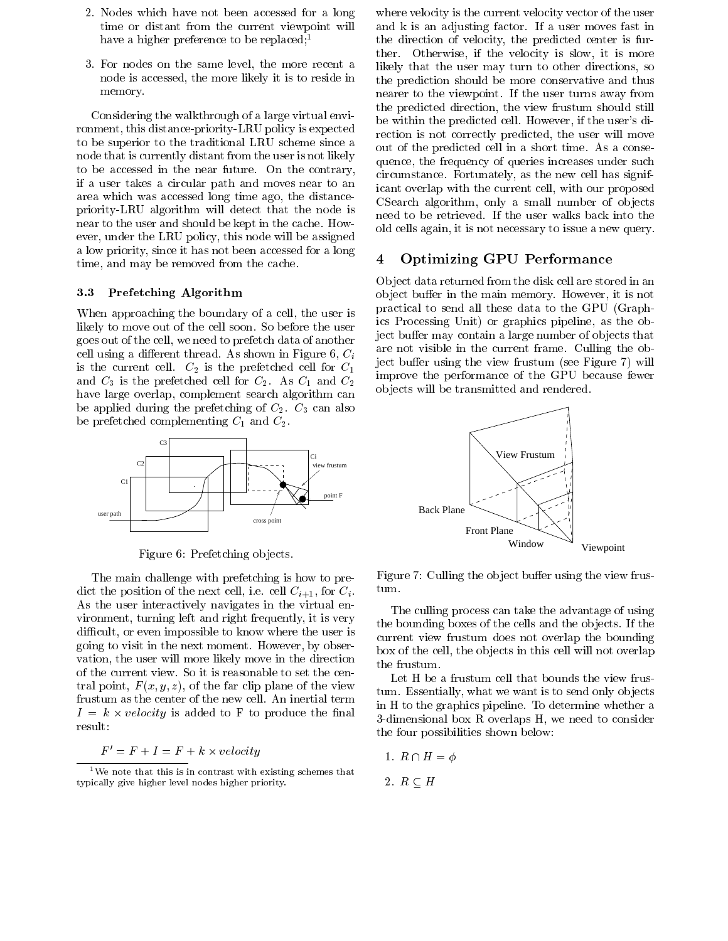- 2. Nodes which have not been accessed for a long time or distant from the current viewpoint will have a higher preference to be replaced;<sup>1</sup>
- 3. For nodes on the same level, the more recent a node is accessed, the more likely it is to reside in memory.

Considering the walkthrough of a large virtual environment, this distance-priority-LRU policy is expected to be superior to the traditional LRU scheme since a node that is currently distant from the user is not likely to be accessed in the near future. On the contrary, if a user takes a circular path and moves near to an area which was accessed long time ago, the distancepriority-LRU algorithm will detect that the node is near to the user and should be kept in the cache. How ever, under the LRU policy, this node will be assigned a low priority, since it has not been accessed for a long<br>time and may be remained from the sashe time, and may be removed from the cache.

# 3.3 Prefetching Algorithm

When approaching the boundary of a cell, the user is likely to move out of the cell soon. So before the user goes out of the cell, we need to prefetch data of another cell using a different thread. As shown in Figure 6,  $C_i$ is the current cell.  $C_2$  is the prefetched cell for  $C_1$ and  $C_3$  is the prefetched cell for  $C_2$ . As  $C_1$  and  $C_2$ have large overlap, complement search algorithm can be applied during the prefetching of  $C_2$ .  $C_3$  can also be prefetched complementing  $C_1$  and  $C_2$ .



Figure 6: Prefetching objects.

The main challenge with prefetching is how to predict the position of the next cell, i.e. cell  $C_{i+1}$ , for  $C_i$ . As the user interactively navigates in the virtual environment, turning left and right frequently, it is very difficult, or even impossible to know where the user is going to visit in the next moment. However, by obser vation, the user will more likely move in the direction of the current view. So it is reasonable to set the central point,  $F(x, y, z)$ , of the far clip plane of the view frustum as the center of the new cell. An inertial term  $I = k \times velocity$  is added to F to produce the final  $\alpha$ result:

#### $F = F + I = F + k \times velocity$

where velocity is the current velocity vector of the user and k is an adjusting factor. If a user moves fast in the direction of velocity, the predicted center is further. Otherwise, if the velocity is slow, it is more likely that the user may turn to other directions, so the prediction should be more conservative and thus nearer to the viewpoint. If the user turns away from the predicted direction, the view frustum should still be within the predicted cell. However, if the user's direction is not correctly predicted, the user will move out of the predicted cell in a short time. As a consequence, the frequency of queries increases under such circumstance. Fortunately, as the new cell has significant overlap with the current cell, with our proposed CSearch algorithm, only a small number of objects need to be retrieved. If the user walks back into the old cells again, it is not necessary to issue a new query.

# 4 Optimizing GPU Performance

Ob ject data returned from the disk cell are stored in an object buffer in the main memory. However, it is not practical to send all these data to the GPU (Graphics Processing Unit) or graphics pipeline, as the object buffer may contain a large number of objects that are not visible in the current frame. Culling the object buffer using the view frustum (see Figure 7) will improve the performance of the GPU because fewer ob jects will be transmitted and rendered.



Figure 7: Culling the object buffer using the view frus-

The culling process can take the advantage of using the bounding boxes of the cells and the objects. If the current view frustum does not overlap the bounding box of the cell, the ob jects in this cell will not overlap the frustum.

Let H be a frustum cell that bounds the view frustum. Essentially, what we want is to send only ob jects in H to the graphics pipeline. To determine whether a 3-dimensional boxRoverlaps H, we need to consider the four possibilities shown below:

1. 
$$
R \cap H = \phi
$$

2. 
$$
R \subseteq H
$$

 $1$ We note that this is in contrast with existing schemes that typically give higher level nodes higher priority.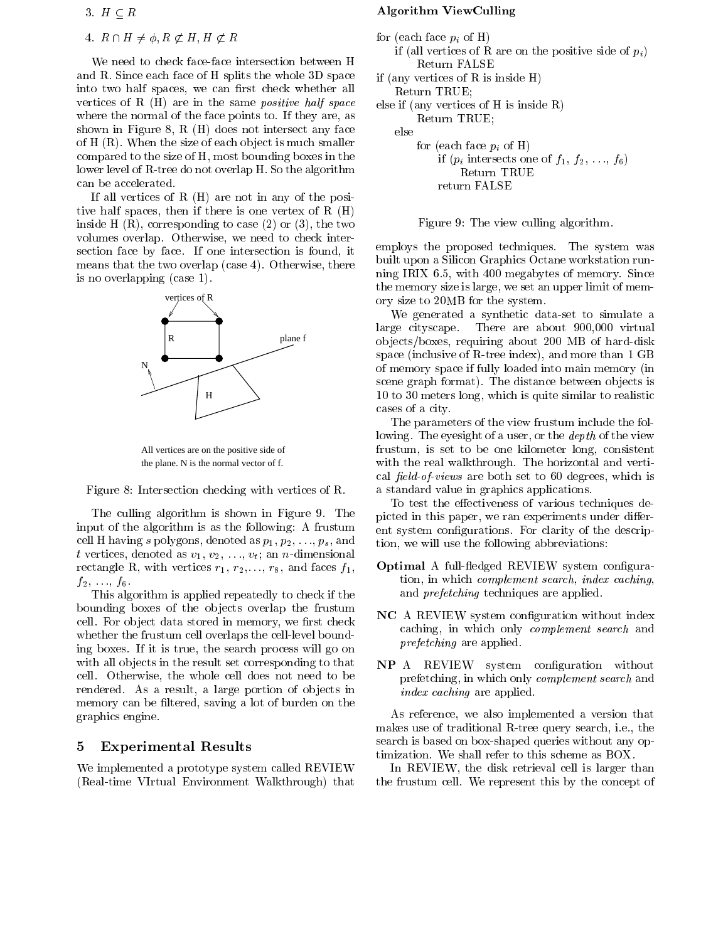# 3.  $H \subseteq R$

# 4.  $R \cap H \neq \phi, R \not\subset H, H \not\subset R$

We need to check face-face intersection between H and R. Since each face of H splits the whole 3D space into two half spaces, we can first check whether all vertices of R  $(H)$  are in the same *positive half space* where the normal of the face points to. If they are, as shown in Figure 8, R (H) does not intersect any face of  $H(R)$ . When the size of each object is much smaller compared to the size of H, most bounding boxes in the lower level of R-tree do not overlap H. So the algorithm can be accelerated.

If all vertices of R (H) are not in any of the positive half spaces, then if there is one vertex of R (H) inside H  $(R)$ , corresponding to case  $(2)$  or  $(3)$ , the two volumes overlap. Otherwise, we need to check intersection face by face. If one intersection is found, it means that the two overlap (case 4). Otherwise, there is no overlapping (case 1).





Figure 8: Intersection checking with vertices of R.

The culling algorithm is shown in Figure 9. The input of the algorithm is as the following: A frustum cell H having s polygons, denoted as  $p_1, p_2, \ldots, p_s$ , and t vertices, denoted as  $v_1, v_2, \ldots, v_t$ ; an n-dimensional rectangle R, with vertices  $r_1, r_2,..., r_8$ , and faces  $f_1$ ,  $f_2, \ldots, f_6.$ 

This algorithm is applied repeatedly to check if the bounding boxes of the ob jects overlap the frustum cell. For object data stored in memory, we first check whether the frustum cell overlaps the cell-level bounding boxes. If it is true, the search process will go on with all objects in the result set corresponding to that cell. Otherwise, the whole cell does not need to be rendered. As a result, a large portion of objects in memory can be filtered, saving a lot of burden on the graphics engine.

#### 5 5 Experimental Results

We implemented a prototype system called REVIEW (Real-time VIrtual Environment Walkthrough) that

## Algorithm ViewCulling

```
for (each face p_i of H)
   if (all vertices of R are on the positive side of p_i)
        Return FALSE
if (any vertices of R is inside H)
   Return TRUE;
else if (any vertices of H is inside R)
        Return TRUE;
   else
        for (each face p_i of H)
            if (p_i intersects one of f_1, f_2, \ldots, f_6Return TRUE
            return FALSE
```
Figure 9: The view culling algorithm.

employs the proposed techniques. The system was built upon a Silicon Graphics Octane workstation running IRIX 6.5, with 400 megabytes of memory. Since the memory size is large, we set an upper limit of memory size to 20MB for the system.

We generated a synthetic data-set to simulate a large cityscape. There are about 900,000 virtual ob jects/boxes, requiring about 200 MB of hard-disk space (inclusive of R-tree index), and more than 1 GB of memory space if fully loaded into main memory (in scene graph format). The distance between objects is 10 to 30 meters long, which is quite similar to realistic cases of a city.

The parameters of the view frustum include the following. The eyesight of a user, or the *depth* of the view frustum, is set to be one kilometer long, consistent with the real walkthrough. The horizontal and vertical  $field-of-views$  are both set to 60 degrees, which is a standard value in graphics applications.

To test the effectiveness of various techniques depicted in this paper, we ran experiments under different system congurations. For clarity of the description, we will use the following abbreviations:

- Optimal A full-fledged REVIEW system configuration, in which complement search, index caching, and prefetching techniques are applied.
- NC A REVIEW system conguration without index caching, in which only complement search and prefetching are applied.
- NP A REVIEW system conguration without prefetching, in which only complement search and index caching are applied.

As reference, we also implemented a version that makes use of traditional R-tree query search, i.e., the search is based on box-shaped queries without any optimization. We shall refer to this scheme as BOX.

In REVIEW, the disk retrieval cell is larger than the frustum cell. We represent this by the concept of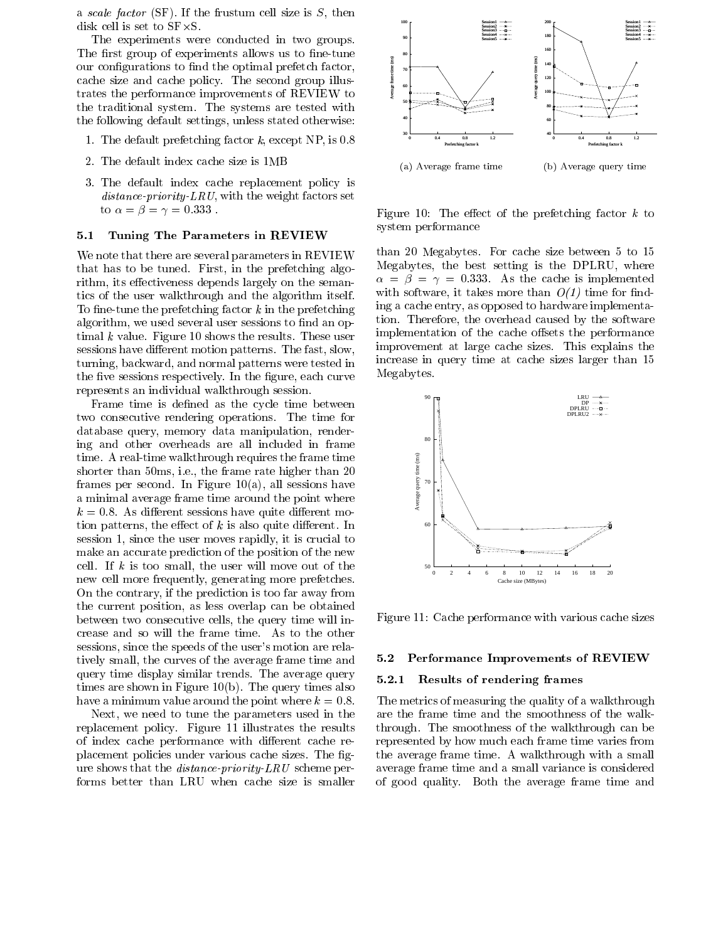a scale factor  $(SF)$ . If the frustum cell size is S, then disk cell is set to SF-S.

The experiments were conducted in two groups. The first group of experiments allows us to fine-tune<br>our configurations to find the optimal prefetch factor,<br>cache size and cache policy. The second group illus-<br>trates the performance improvements of REVIEW to our configurations to find the optimal prefetch factor, cache size and cache policy. The second group illustrates the performance improvements of REVIEW to the traditional system. The systems are tested with the following default settings, unless stated otherwise:

- 1. The default prefetching factor k, except NP, is 0.8
- 2. The default index cache size is 1MB
- 3. The default index cache replacement policy is  $distance\text{-}priority\text{-}LRU$ , with the weight factors set to  $\alpha = \beta = \gamma = 0.333$ .

# 5.1 Tuning The Parameters in REVIEW

We note that there are several parameters in REVIEW that has to be tuned. First, in the prefetching algorithm, its effectiveness depends largely on the semantics of the user walkthrough and the algorithm itself. To fine-tune the prefetching factor  $k$  in the prefetching algorithm, we used several user sessions to find an optimal  $k$  value. Figure 10 shows the results. These user sessions have different motion patterns. The fast, slow, turning, backward, and normal patterns were tested in the five sessions respectively. In the figure, each curve represents an individual walkthrough session.

Frame time is defined as the cycle time between two consecutive rendering operations. The time for database query, memory data manipulation, rendering and other overheads are all included in frame time. A real-time walkthrough requires the frame time shorter than 50ms, i.e., the frame rate higher than 20 frames per second. In Figure  $10(a)$ , all sessions have a minimal average frame time around the point where  $k = 0.8$ . As different sessions have quite different motion patterns, the effect of  $k$  is also quite different. In session 1, since the user moves rapidly, it is crucial to make an accurate prediction of the position of the new cell. If  $k$  is too small, the user will move out of the new cell more frequently, generating more prefetches. On the contrary, if the prediction is too far away from the current position, as less overlap can be obtained between two consecutive cells, the query time will increase and so will the frame time. As to the other sessions, since the speeds of the user's motion are relatively small, the curves of the average frame time and query time display similar trends. The average query  $5.2.1$ times are shown in Figure 10(b). The query times also have a minimum value around the point where  $k = 0.8$ .

Next, we need to tune the parameters used in the replacement policy. Figure 11 illustrates the results of index cache performance with different cache replacement policies under various cache sizes. The figure shows that the distance-priority-LRU scheme performs better than LRU when cache size is smaller



Figure 10: The effect of the prefetching factor  $k$  to system performance

than 20 Megabytes. For cache size between 5 to 15 Megabytes, the best setting is the DPLRU, where  $\alpha = \beta = \gamma = 0.333$ . As the cache is implemented with software, it takes more than  $O(1)$  time for finding a cache entry, as opposed to hardware implementation. Therefore, the overhead caused by the software implementation of the cache offsets the performance improvement at large cache sizes. This explains the increase in query time at cache sizes larger than 15 Megabytes.



Figure 11: Cache performance with various cache sizes

#### 5.2 Performance Improvements of REVIEW

#### Results of rendering frames

The metrics of measuring the quality of a walkthrough are the frame time and the smoothness of the walkthrough. The smoothness of the walkthrough can be represented by how much each frame time varies from the average frame time. A walkthrough with a small average frame time and a small variance is considered of good quality. Both the average frame time and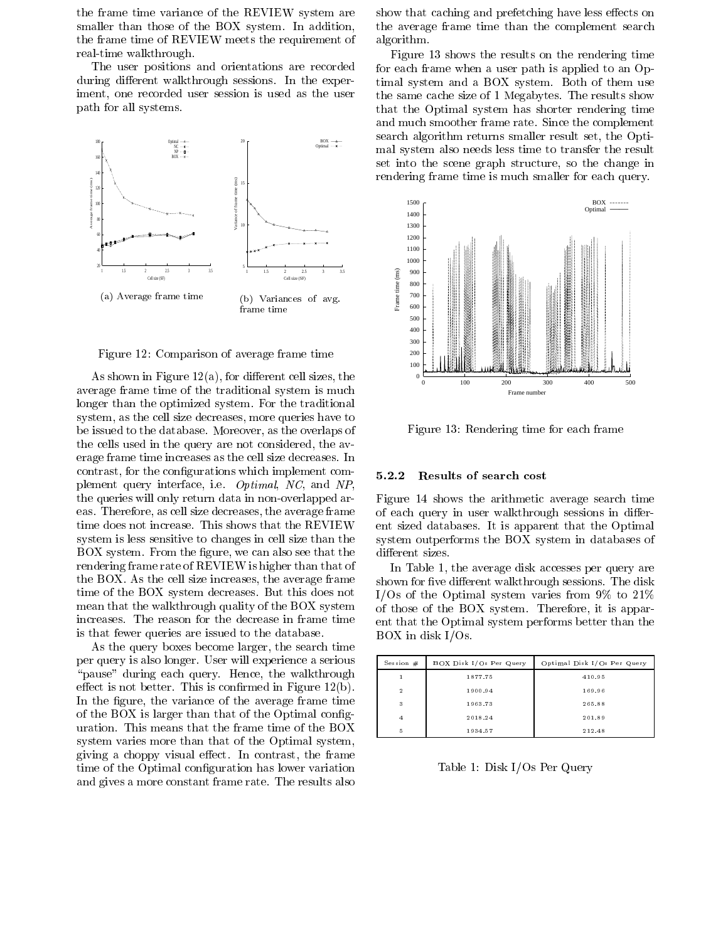the frame time variance of the REVIEW system are smaller than those of the BOX system. In addition, the frame time of REVIEW meets the requirement of real-time walkthrough.

The user positions and orientations are recorded during different walkthrough sessions. In the experiment, one recorded user session is used as the user path for all systems.



Figure 12: Comparison of average frame time

As shown in Figure  $12(a)$ , for different cell sizes, the average frame time of the traditional system is much longer than the optimized system. For the traditional system, as the cell size decreases, more queries have to be issued to the database. Moreover, as the overlaps of the cells used in the query are not considered, the av erage frame time increases as the cell size decreases. In contrast, for the configurations which implement comcontrast, for the comigurations which implement com- $5.2.2$ <br>plement query interface, i.e. *Optimal, NC*, and NP, the queries will only return data in non-overlapped areas. Therefore, as cell size decreases, the average frame time does not increase. This shows that the REVIEW system is less sensitive to changes in cell size than the BOX system. From the figure, we can also see that the rendering frame rate of REVIEW is higher than that of the BOX. As the cell size increases, the average frame time of the BOX system decreases. But this does not mean that the walkthrough quality of the BOX system increases. The reason for the decrease in frame time is that fewer queries are issued to the database.

As the query boxes become larger, the search time per query is also longer. User will experience a serious "pause" during each query. Hence, the walkthrough effect is not better. This is confirmed in Figure  $12(b)$ . In the figure, the variance of the average frame time of the BOX is larger than that of the Optimal conguration. This means that the frame time of the BOX system varies more than that of the Optimal system, giving a choppy visual effect. In contrast, the frame time of the Optimal configuration has lower variation and gives a more constant frame rate. The results also

show that caching and prefetching have less effects on the average frame time than the complement search algorithm.

Figure 13 shows the results on the rendering time for each frame when a user path is applied to an Optimal system anda BOX system. Both of them use the same cache size of 1 Megabytes. The results show that the Optimal system has shorter rendering time and much smoother frame rate. Since the complement search algorithm returns smaller result set, the Optimal system also needs less time to transfer the result set into the scene graph structure, so the change in rendering frame time is much smaller for each query.



Figure 13: Rendering time for each frame

#### Results of search cost

Figure 14 shows the arithmetic average search time of each query in user walkthrough sessions in different sized databases. It is apparent that the Optimal system outperforms the BOX system in databases of different sizes.

In Table 1, the average disk accesses per query are shown for five different walkthrough sessions. The disk I/Os of the Optimal system varies from 9% to 21% of those of the BOX system. Therefore, it is apparent that the Optimal system performs better than the BOX in disk I/Os.

| Session $#$    | BOX Disk I/Os Per Query | Optimal Disk I/Os Per Query |
|----------------|-------------------------|-----------------------------|
|                | 1877.75                 | 410.95                      |
| $\overline{2}$ | 1900.94                 | 169.96                      |
| 3              | 1963.73                 | 265.88                      |
| $\overline{4}$ | 2018.24                 | 201.89                      |
| 5              | 1934.57                 | 212.48                      |

Table 1: Disk I/Os Per Query